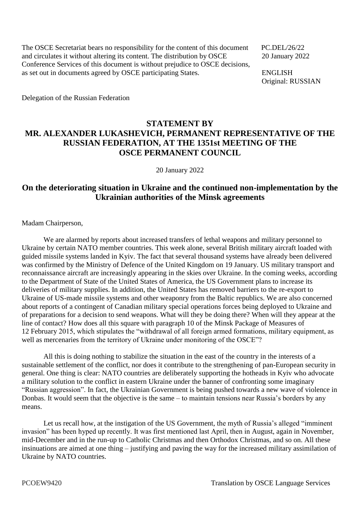The OSCE Secretariat bears no responsibility for the content of this document PC.DEL/26/22 and circulates it without altering its content. The distribution by OSCE 20 January 2022 Conference Services of this document is without prejudice to OSCE decisions, as set out in documents agreed by OSCE participating States. ENGLISH

Original: RUSSIAN

Delegation of the Russian Federation

## **STATEMENT BY MR. ALEXANDER LUKASHEVICH, PERMANENT REPRESENTATIVE OF THE RUSSIAN FEDERATION, AT THE 1351st MEETING OF THE OSCE PERMANENT COUNCIL**

20 January 2022

## **On the deteriorating situation in Ukraine and the continued non-implementation by the Ukrainian authorities of the Minsk agreements**

Madam Chairperson,

We are alarmed by reports about increased transfers of lethal weapons and military personnel to Ukraine by certain NATO member countries. This week alone, several British military aircraft loaded with guided missile systems landed in Kyiv. The fact that several thousand systems have already been delivered was confirmed by the Ministry of Defence of the United Kingdom on 19 January. US military transport and reconnaissance aircraft are increasingly appearing in the skies over Ukraine. In the coming weeks, according to the Department of State of the United States of America, the US Government plans to increase its deliveries of military supplies. In addition, the United States has removed barriers to the re-export to Ukraine of US-made missile systems and other weaponry from the Baltic republics. We are also concerned about reports of a contingent of Canadian military special operations forces being deployed to Ukraine and of preparations for a decision to send weapons. What will they be doing there? When will they appear at the line of contact? How does all this square with paragraph 10 of the Minsk Package of Measures of 12 February 2015, which stipulates the "withdrawal of all foreign armed formations, military equipment, as well as mercenaries from the territory of Ukraine under monitoring of the OSCE"?

All this is doing nothing to stabilize the situation in the east of the country in the interests of a sustainable settlement of the conflict, nor does it contribute to the strengthening of pan-European security in general. One thing is clear: NATO countries are deliberately supporting the hotheads in Kyiv who advocate a military solution to the conflict in eastern Ukraine under the banner of confronting some imaginary "Russian aggression". In fact, the Ukrainian Government is being pushed towards a new wave of violence in Donbas. It would seem that the objective is the same – to maintain tensions near Russia's borders by any means.

Let us recall how, at the instigation of the US Government, the myth of Russia's alleged "imminent invasion" has been hyped up recently. It was first mentioned last April, then in August, again in November, mid-December and in the run-up to Catholic Christmas and then Orthodox Christmas, and so on. All these insinuations are aimed at one thing – justifying and paving the way for the increased military assimilation of Ukraine by NATO countries.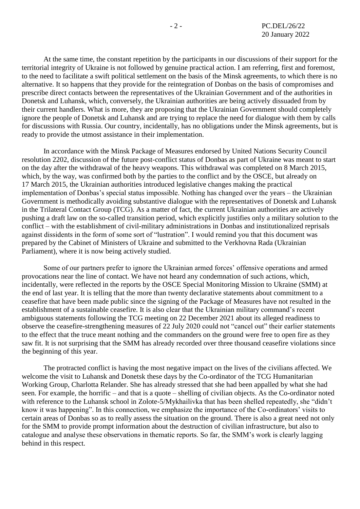At the same time, the constant repetition by the participants in our discussions of their support for the territorial integrity of Ukraine is not followed by genuine practical action. I am referring, first and foremost, to the need to facilitate a swift political settlement on the basis of the Minsk agreements, to which there is no alternative. It so happens that they provide for the reintegration of Donbas on the basis of compromises and prescribe direct contacts between the representatives of the Ukrainian Government and of the authorities in Donetsk and Luhansk, which, conversely, the Ukrainian authorities are being actively dissuaded from by their current handlers. What is more, they are proposing that the Ukrainian Government should completely ignore the people of Donetsk and Luhansk and are trying to replace the need for dialogue with them by calls for discussions with Russia. Our country, incidentally, has no obligations under the Minsk agreements, but is ready to provide the utmost assistance in their implementation.

In accordance with the Minsk Package of Measures endorsed by United Nations Security Council resolution 2202, discussion of the future post-conflict status of Donbas as part of Ukraine was meant to start on the day after the withdrawal of the heavy weapons. This withdrawal was completed on 8 March 2015, which, by the way, was confirmed both by the parties to the conflict and by the OSCE, but already on 17 March 2015, the Ukrainian authorities introduced legislative changes making the practical implementation of Donbas's special status impossible. Nothing has changed over the years – the Ukrainian Government is methodically avoiding substantive dialogue with the representatives of Donetsk and Luhansk in the Trilateral Contact Group (TCG). As a matter of fact, the current Ukrainian authorities are actively pushing a draft law on the so-called transition period, which explicitly justifies only a military solution to the conflict – with the establishment of civil-military administrations in Donbas and institutionalized reprisals against dissidents in the form of some sort of "lustration". I would remind you that this document was prepared by the Cabinet of Ministers of Ukraine and submitted to the Verkhovna Rada (Ukrainian Parliament), where it is now being actively studied.

Some of our partners prefer to ignore the Ukrainian armed forces' offensive operations and armed provocations near the line of contact. We have not heard any condemnation of such actions, which, incidentally, were reflected in the reports by the OSCE Special Monitoring Mission to Ukraine (SMM) at the end of last year. It is telling that the more than twenty declarative statements about commitment to a ceasefire that have been made public since the signing of the Package of Measures have not resulted in the establishment of a sustainable ceasefire. It is also clear that the Ukrainian military command's recent ambiguous statements following the TCG meeting on 22 December 2021 about its alleged readiness to observe the ceasefire-strengthening measures of 22 July 2020 could not "cancel out" their earlier statements to the effect that the truce meant nothing and the commanders on the ground were free to open fire as they saw fit. It is not surprising that the SMM has already recorded over three thousand ceasefire violations since the beginning of this year.

The protracted conflict is having the most negative impact on the lives of the civilians affected. We welcome the visit to Luhansk and Donetsk these days by the Co-ordinator of the TCG Humanitarian Working Group, Charlotta Relander. She has already stressed that she had been appalled by what she had seen. For example, the horrific – and that is a quote – shelling of civilian objects. As the Co-ordinator noted with reference to the Luhansk school in Zolote-5/Mykhailivka that has been shelled repeatedly, she "didn't know it was happening". In this connection, we emphasize the importance of the Co-ordinators' visits to certain areas of Donbas so as to really assess the situation on the ground. There is also a great need not only for the SMM to provide prompt information about the destruction of civilian infrastructure, but also to catalogue and analyse these observations in thematic reports. So far, the SMM's work is clearly lagging behind in this respect.